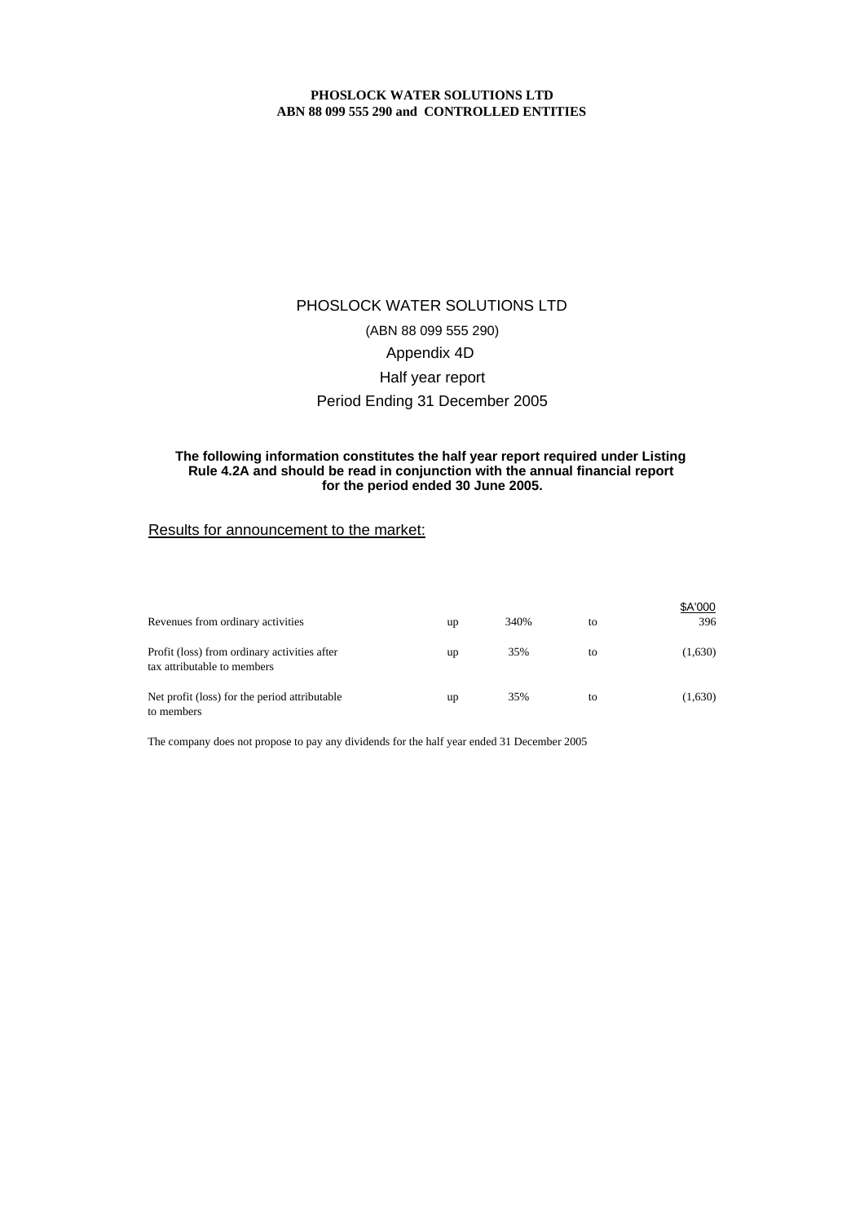# PHOSLOCK WATER SOLUTIONS LTD (ABN 88 099 555 290) Appendix 4D Half year report Period Ending 31 December 2005

### **for the period ended 30 June 2005. The following information constitutes the half year report required under Listing Rule 4.2A and should be read in conjunction with the annual financial report**

### Results for announcement to the market:

| Revenues from ordinary activities                                           | up | 340% | to | \$A'000<br>396 |
|-----------------------------------------------------------------------------|----|------|----|----------------|
| Profit (loss) from ordinary activities after<br>tax attributable to members | up | 35%  | to | (1,630)        |
| Net profit (loss) for the period attributable<br>to members                 | up | 35%  | to | (1,630)        |

The company does not propose to pay any dividends for the half year ended 31 December 2005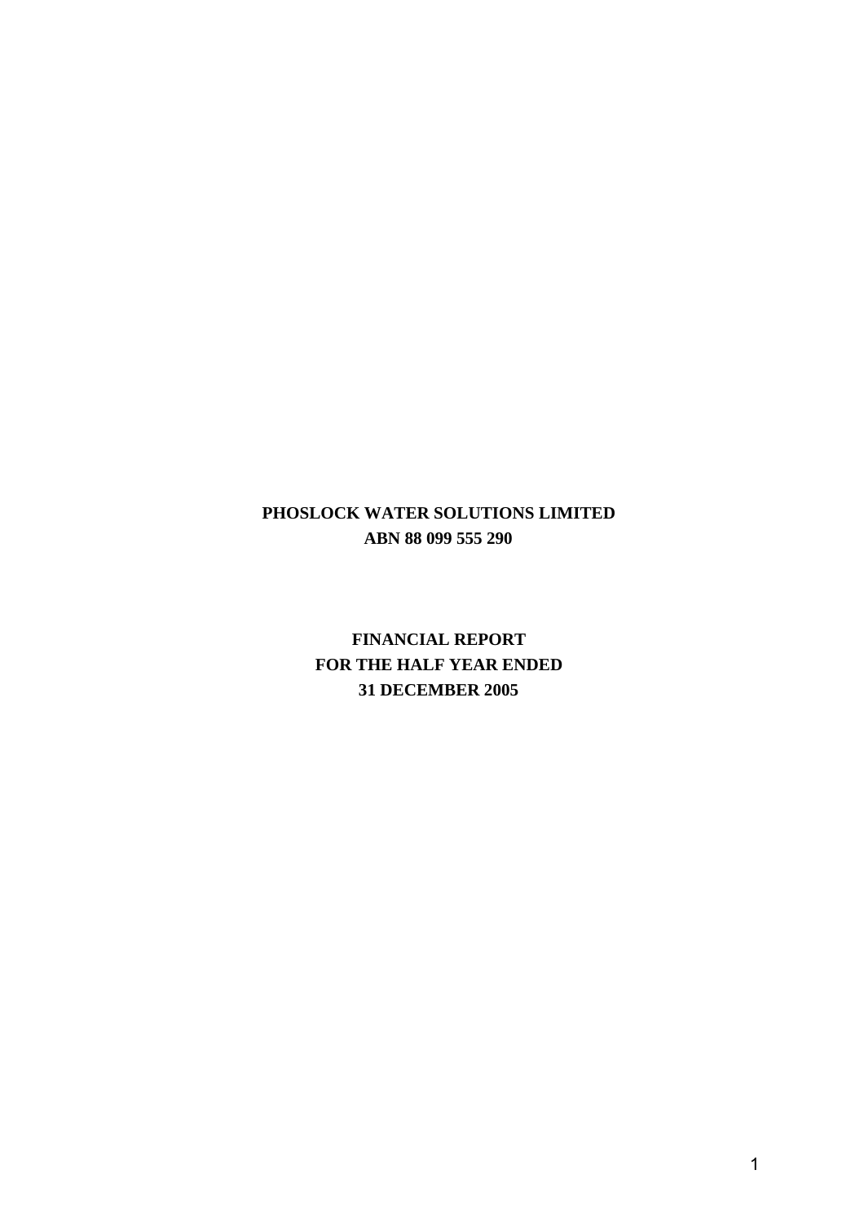# **PHOSLOCK WATER SOLUTIONS LIMITED ABN 88 099 555 290**

**FINANCIAL REPORT FOR THE HALF YEAR ENDED 31 DECEMBER 2005**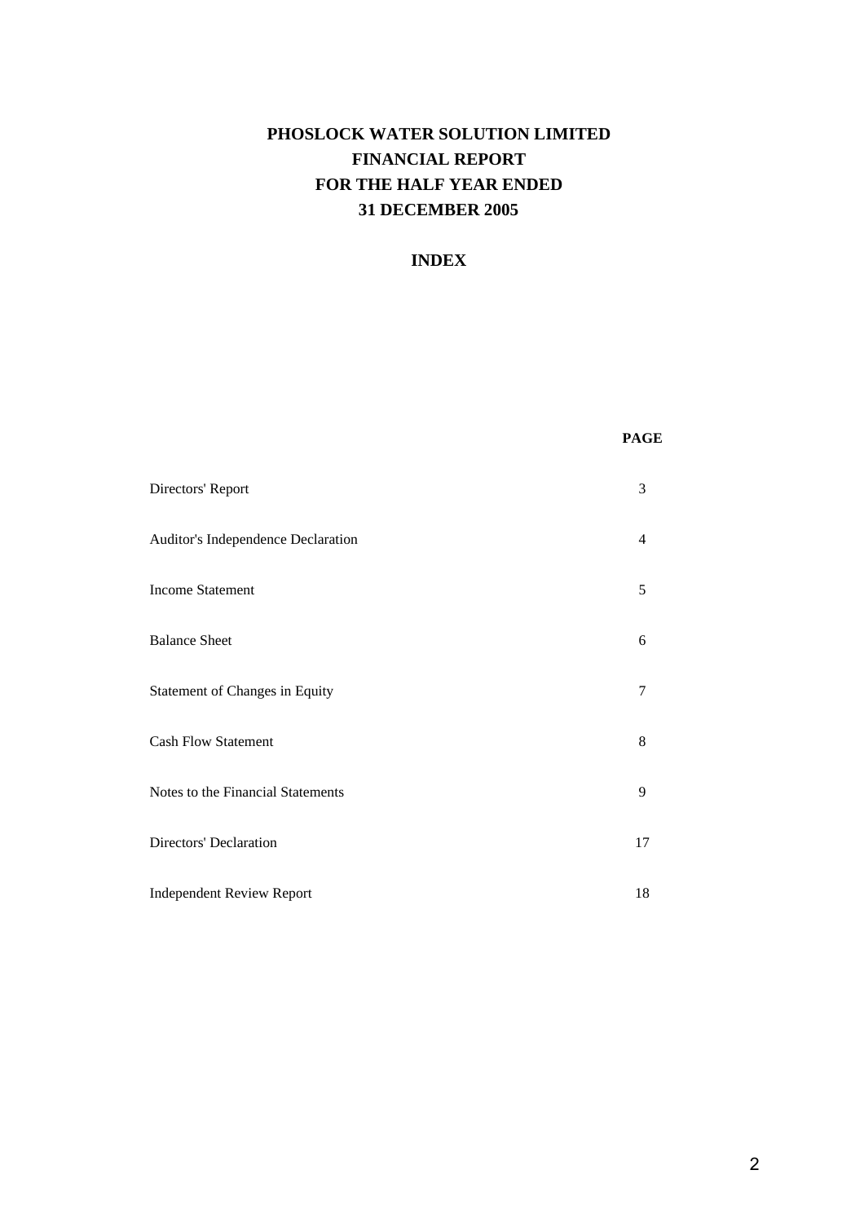# **PHOSLOCK WATER SOLUTION LIMITED FINANCIAL REPORT FOR THE HALF YEAR ENDED 31 DECEMBER 2005**

# **INDEX**

### **PAGE**

| Directors' Report                  | 3  |
|------------------------------------|----|
| Auditor's Independence Declaration | 4  |
| <b>Income Statement</b>            | 5  |
| <b>Balance Sheet</b>               | 6  |
| Statement of Changes in Equity     | 7  |
| <b>Cash Flow Statement</b>         | 8  |
| Notes to the Financial Statements  | 9  |
| Directors' Declaration             | 17 |
| <b>Independent Review Report</b>   | 18 |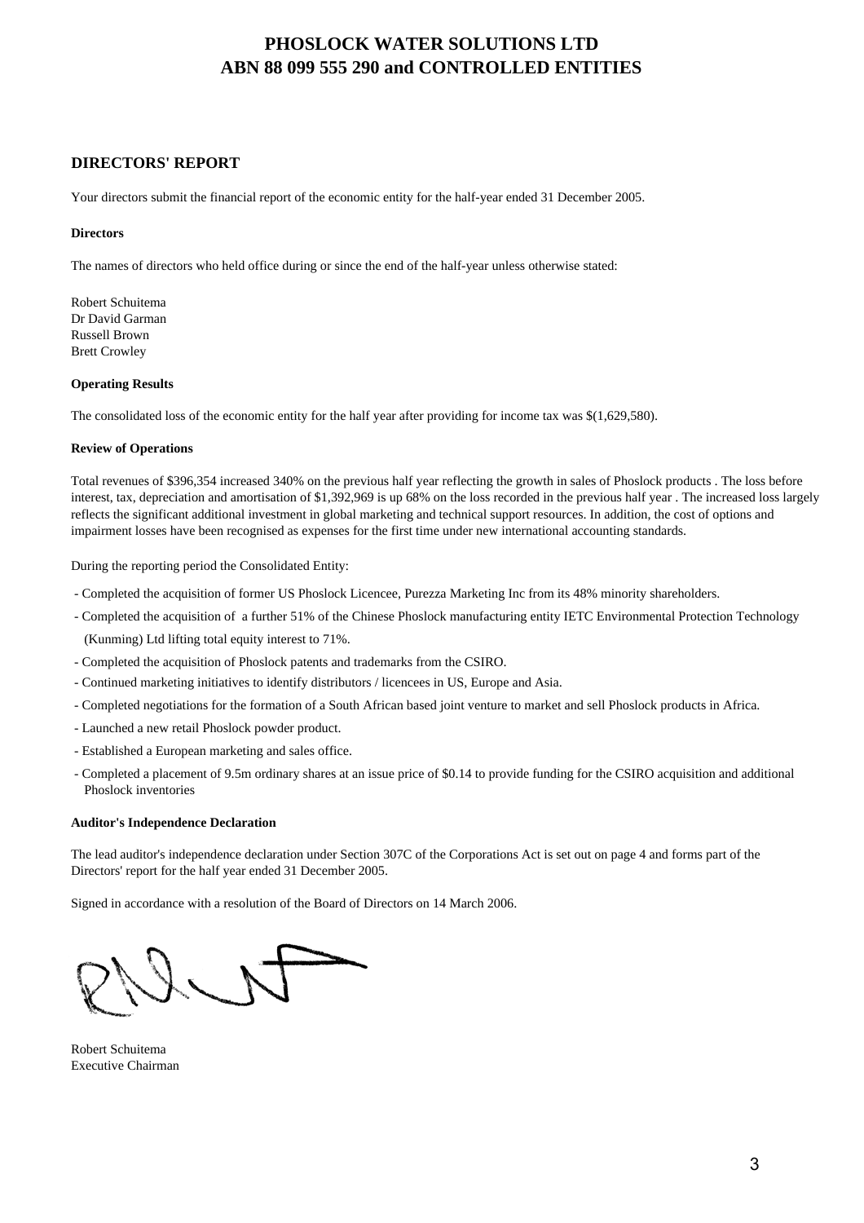## **DIRECTORS' REPORT**

Your directors submit the financial report of the economic entity for the half-year ended 31 December 2005.

### **Directors**

The names of directors who held office during or since the end of the half-year unless otherwise stated:

Robert Schuitema Dr David Garman Russell Brown Brett Crowley

### **Operating Results**

The consolidated loss of the economic entity for the half year after providing for income tax was \$(1,629,580).

### **Review of Operations**

Total revenues of \$396,354 increased 340% on the previous half year reflecting the growth in sales of Phoslock products . The loss before interest, tax, depreciation and amortisation of \$1,392,969 is up 68% on the loss recorded in the previous half year . The increased loss largely reflects the significant additional investment in global marketing and technical support resources. In addition, the cost of options and impairment losses have been recognised as expenses for the first time under new international accounting standards.

During the reporting period the Consolidated Entity:

- Completed the acquisition of former US Phoslock Licencee, Purezza Marketing Inc from its 48% minority shareholders.
- Completed the acquisition of a further 51% of the Chinese Phoslock manufacturing entity IETC Environmental Protection Technology (Kunming) Ltd lifting total equity interest to 71%.
- Completed the acquisition of Phoslock patents and trademarks from the CSIRO.
- Continued marketing initiatives to identify distributors / licencees in US, Europe and Asia.
- Completed negotiations for the formation of a South African based joint venture to market and sell Phoslock products in Africa.
- Launched a new retail Phoslock powder product.
- Established a European marketing and sales office.
- Completed a placement of 9.5m ordinary shares at an issue price of \$0.14 to provide funding for the CSIRO acquisition and additional Phoslock inventories

### **Auditor's Independence Declaration**

The lead auditor's independence declaration under Section 307C of the Corporations Act is set out on page 4 and forms part of the Directors' report for the half year ended 31 December 2005.

Signed in accordance with a resolution of the Board of Directors on 14 March 2006.

Robert Schuitema Executive Chairman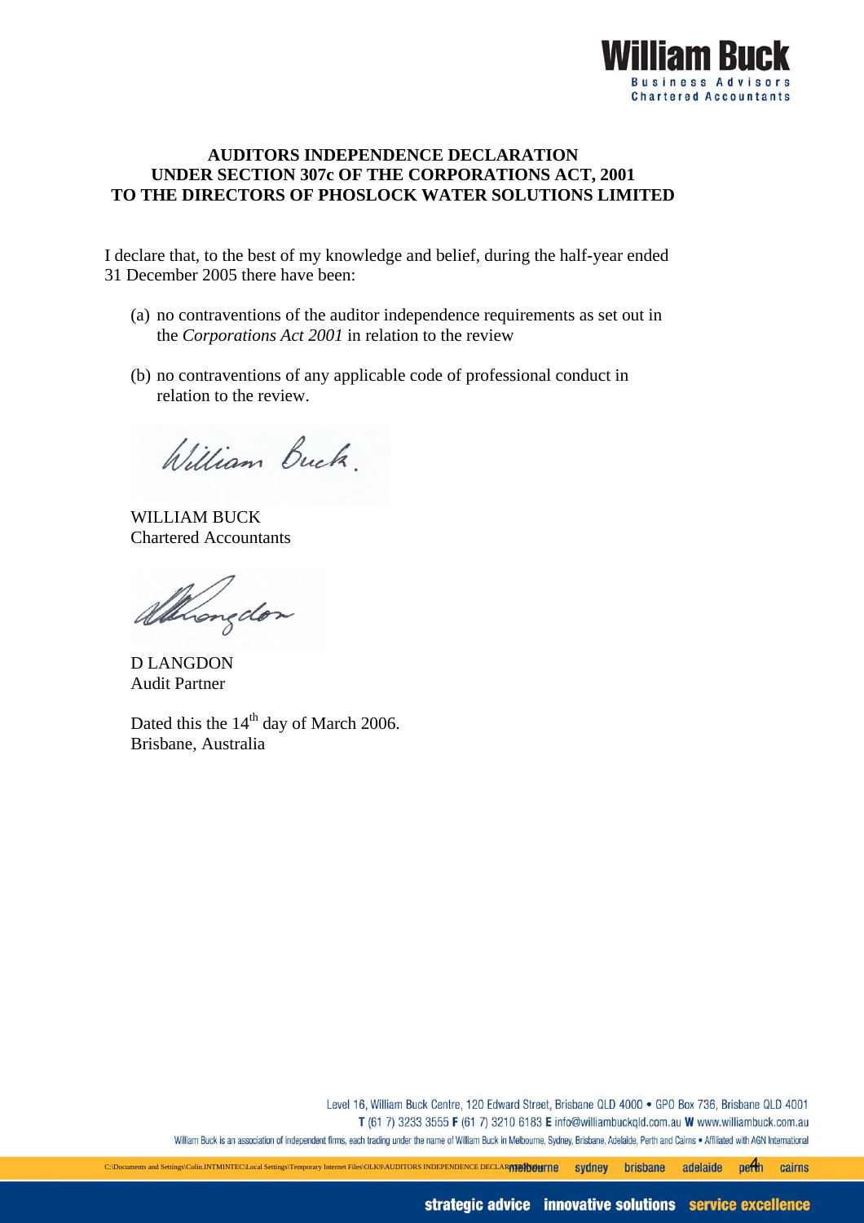

# **AUDITORS INDEPENDENCE DECLARATION UNDER SECTION 307c OF THE CORPORATIONS ACT, 2001 TO THE DIRECTORS OF PHOSLOCK WATER SOLUTIONS LIMITED**

I declare that, to the best of my knowledge and belief, during the half-year ended 31 December 2005 there have been:

- (a) no contraventions of the auditor independence requirements as set out in the *Corporations Act 2001* in relation to the review
- (b) no contraventions of any applicable code of professional conduct in relation to the review.

William Buck.

WILLIAM BUCK Chartered Accountants

allingdon

D LANGDON Audit Partner

Dated this the  $14<sup>th</sup>$  day of March 2006. Brisbane, Australia

> Level 16, William Buck Centre, 120 Edward Street, Brisbane QLD 4000 · GPO Box 736, Brisbane QLD 4001 T (61 7) 3233 3555 F (61 7) 3210 6183 E info@williambuckgld.com.au W www.williambuck.com.au William Buck is an association of independent firms, each trading under the name of William Buck in Melbourne, Sydney, Brisbane, Adelaide, Perth and Cairns . Affiliated with AGN International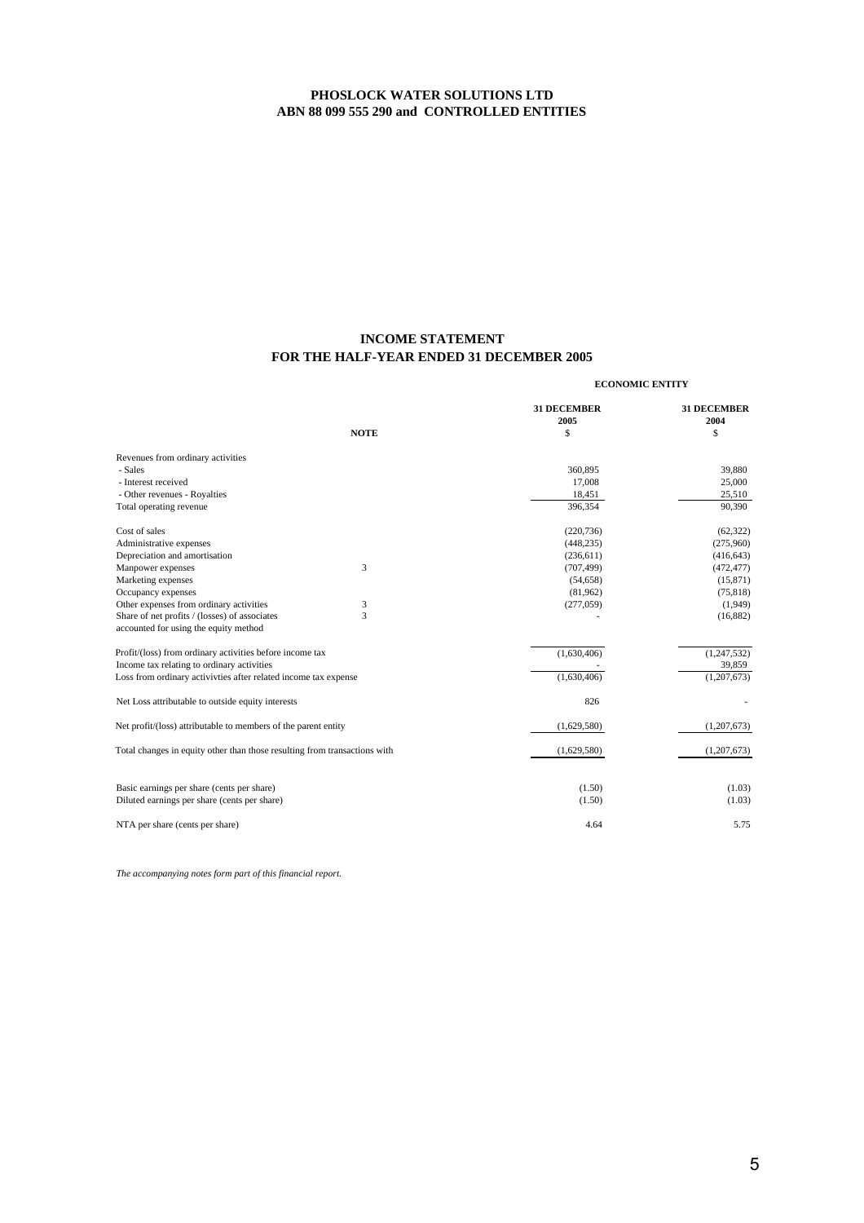## **INCOME STATEMENT FOR THE HALF-YEAR ENDED 31 DECEMBER 2005**

|                                                                                        |             | <b>ECONOMIC ENTITY</b>     |                            |
|----------------------------------------------------------------------------------------|-------------|----------------------------|----------------------------|
|                                                                                        |             | <b>31 DECEMBER</b><br>2005 | <b>31 DECEMBER</b><br>2004 |
|                                                                                        | <b>NOTE</b> | \$                         | \$                         |
| Revenues from ordinary activities                                                      |             |                            |                            |
| - Sales                                                                                |             | 360,895                    | 39,880                     |
| - Interest received                                                                    |             | 17,008                     | 25,000                     |
| - Other revenues - Royalties                                                           |             | 18,451                     | 25,510                     |
| Total operating revenue                                                                |             | 396.354                    | 90,390                     |
| Cost of sales                                                                          |             | (220, 736)                 | (62, 322)                  |
| Administrative expenses                                                                |             | (448, 235)                 | (275,960)                  |
| Depreciation and amortisation                                                          |             | (236, 611)                 | (416, 643)                 |
| Manpower expenses                                                                      | 3           | (707, 499)                 | (472, 477)                 |
| Marketing expenses                                                                     |             | (54, 658)                  | (15, 871)                  |
| Occupancy expenses                                                                     |             | (81,962)                   | (75, 818)                  |
| Other expenses from ordinary activities                                                | 3           | (277,059)                  | (1,949)                    |
| Share of net profits / (losses) of associates<br>accounted for using the equity method | 3           |                            | (16,882)                   |
| Profit/(loss) from ordinary activities before income tax                               |             | (1,630,406)                | (1, 247, 532)              |
| Income tax relating to ordinary activities                                             |             |                            | 39,859                     |
| Loss from ordinary activivties after related income tax expense                        |             | (1,630,406)                | (1,207,673)                |
| Net Loss attributable to outside equity interests                                      |             | 826                        |                            |
| Net profit/(loss) attributable to members of the parent entity                         |             | (1,629,580)                | (1,207,673)                |
| Total changes in equity other than those resulting from transactions with              |             | (1,629,580)                | (1,207,673)                |
|                                                                                        |             |                            |                            |
| Basic earnings per share (cents per share)                                             |             | (1.50)                     | (1.03)                     |
| Diluted earnings per share (cents per share)                                           |             | (1.50)                     | (1.03)                     |
| NTA per share (cents per share)                                                        |             | 4.64                       | 5.75                       |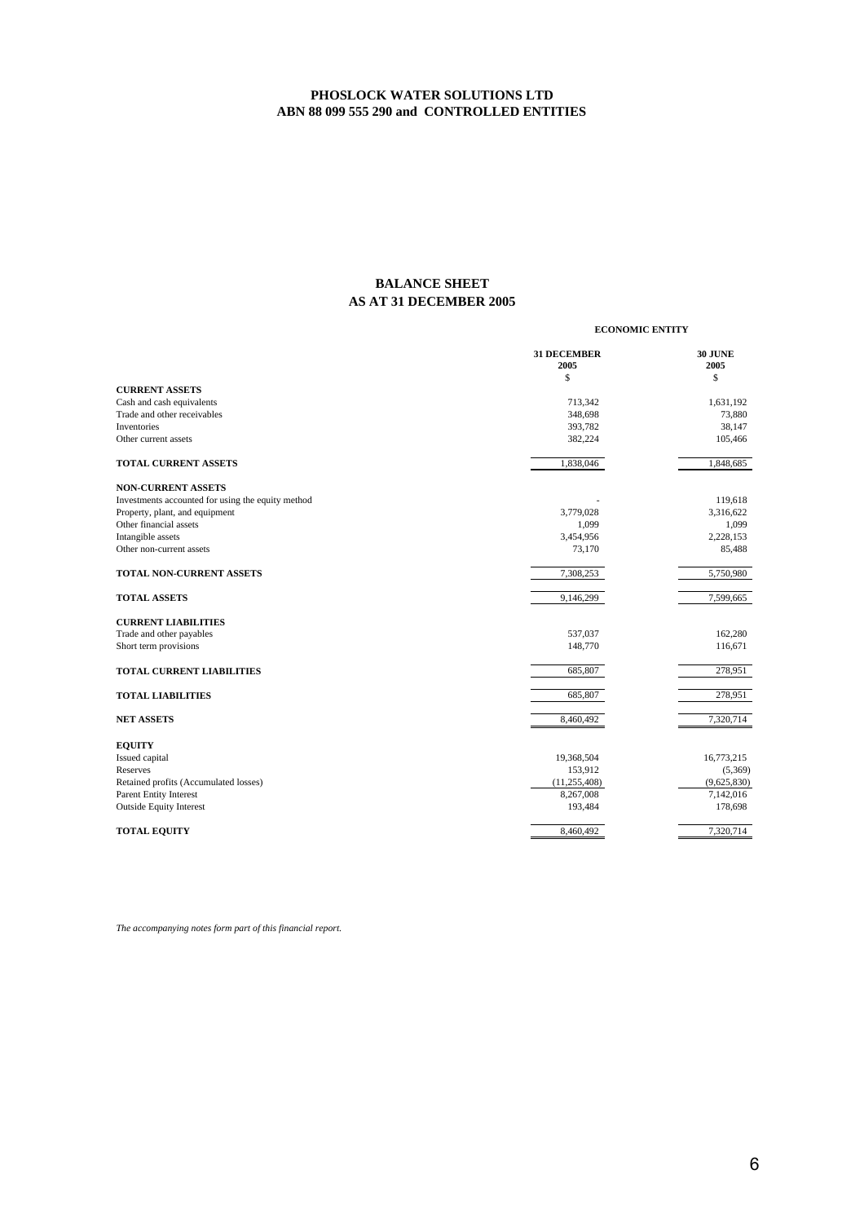## **BALANCE SHEET AS AT 31 DECEMBER 2005**

**ECONOMIC ENTITY**

|                                                    | <b>31 DECEMBER</b><br>2005 | <b>30 JUNE</b><br>2005 |
|----------------------------------------------------|----------------------------|------------------------|
|                                                    | \$                         | \$                     |
| <b>CURRENT ASSETS</b><br>Cash and cash equivalents | 713,342                    | 1,631,192              |
| Trade and other receivables                        | 348,698                    | 73,880                 |
| <b>Inventories</b>                                 | 393,782                    | 38,147                 |
| Other current assets                               | 382,224                    | 105,466                |
|                                                    |                            |                        |
| TOTAL CURRENT ASSETS                               | 1,838,046                  | 1,848,685              |
| <b>NON-CURRENT ASSETS</b>                          |                            |                        |
| Investments accounted for using the equity method  |                            | 119,618                |
| Property, plant, and equipment                     | 3,779,028                  | 3,316,622              |
| Other financial assets                             | 1,099                      | 1,099                  |
| Intangible assets                                  | 3,454,956                  | 2,228,153              |
| Other non-current assets                           | 73,170                     | 85,488                 |
| TOTAL NON-CURRENT ASSETS                           | 7,308,253                  | 5,750,980              |
| <b>TOTAL ASSETS</b>                                | 9,146,299                  | 7,599,665              |
| <b>CURRENT LIABILITIES</b>                         |                            |                        |
| Trade and other payables                           | 537,037                    | 162,280                |
| Short term provisions                              | 148,770                    | 116,671                |
| <b>TOTAL CURRENT LIABILITIES</b>                   | 685,807                    | 278,951                |
| <b>TOTAL LIABILITIES</b>                           | 685,807                    | 278,951                |
| <b>NET ASSETS</b>                                  | 8,460,492                  | 7,320,714              |
| <b>EQUITY</b>                                      |                            |                        |
| Issued capital                                     | 19,368,504                 | 16,773,215             |
| Reserves                                           | 153,912                    | (5,369)                |
| Retained profits (Accumulated losses)              | (11, 255, 408)             | (9,625,830)            |
| <b>Parent Entity Interest</b>                      | 8,267,008                  | 7,142,016              |
| <b>Outside Equity Interest</b>                     | 193,484                    | 178,698                |
| <b>TOTAL EQUITY</b>                                | 8,460,492                  | 7,320,714              |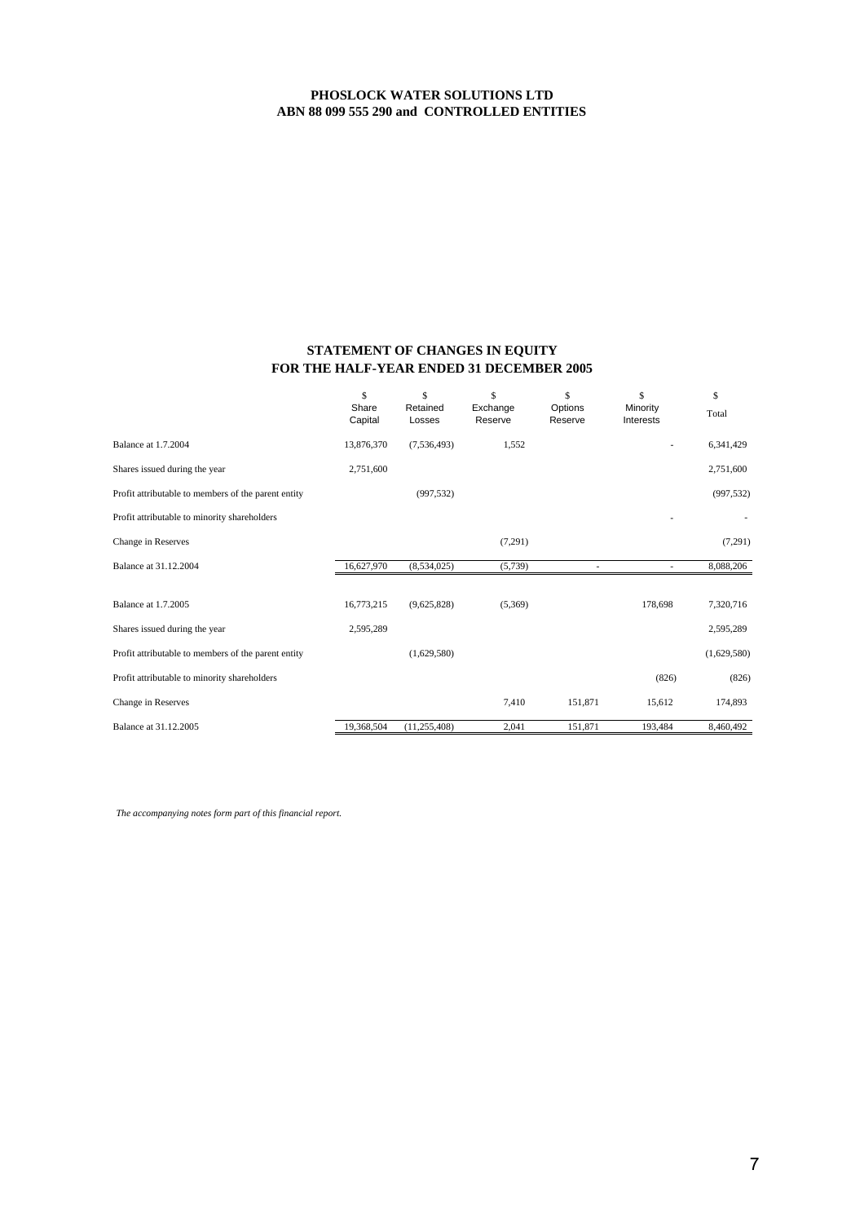### **STATEMENT OF CHANGES IN EQUITY FOR THE HALF-YEAR ENDED 31 DECEMBER 2005**

|                                                     | \$<br>Share<br>Capital | \$<br>Retained<br>Losses | \$<br>Exchange<br>Reserve | \$<br>Options<br>Reserve | \$<br>Minority<br>Interests | \$<br>Total |
|-----------------------------------------------------|------------------------|--------------------------|---------------------------|--------------------------|-----------------------------|-------------|
| Balance at 1.7.2004                                 | 13,876,370             | (7,536,493)              | 1,552                     |                          |                             | 6,341,429   |
| Shares issued during the year                       | 2,751,600              |                          |                           |                          |                             | 2,751,600   |
| Profit attributable to members of the parent entity |                        | (997, 532)               |                           |                          |                             | (997, 532)  |
| Profit attributable to minority shareholders        |                        |                          |                           |                          |                             |             |
| Change in Reserves                                  |                        |                          | (7,291)                   |                          |                             | (7,291)     |
| Balance at 31.12.2004                               | 16,627,970             | (8,534,025)              | (5,739)                   |                          |                             | 8,088,206   |
|                                                     |                        |                          |                           |                          |                             |             |
| <b>Balance at 1.7.2005</b>                          | 16,773,215             | (9,625,828)              | (5,369)                   |                          | 178,698                     | 7,320,716   |
| Shares issued during the year                       | 2,595,289              |                          |                           |                          |                             | 2,595,289   |
| Profit attributable to members of the parent entity |                        | (1,629,580)              |                           |                          |                             | (1,629,580) |
| Profit attributable to minority shareholders        |                        |                          |                           |                          | (826)                       | (826)       |
| Change in Reserves                                  |                        |                          | 7,410                     | 151,871                  | 15,612                      | 174,893     |
| Balance at 31.12.2005                               | 19,368,504             | (11, 255, 408)           | 2,041                     | 151,871                  | 193,484                     | 8,460,492   |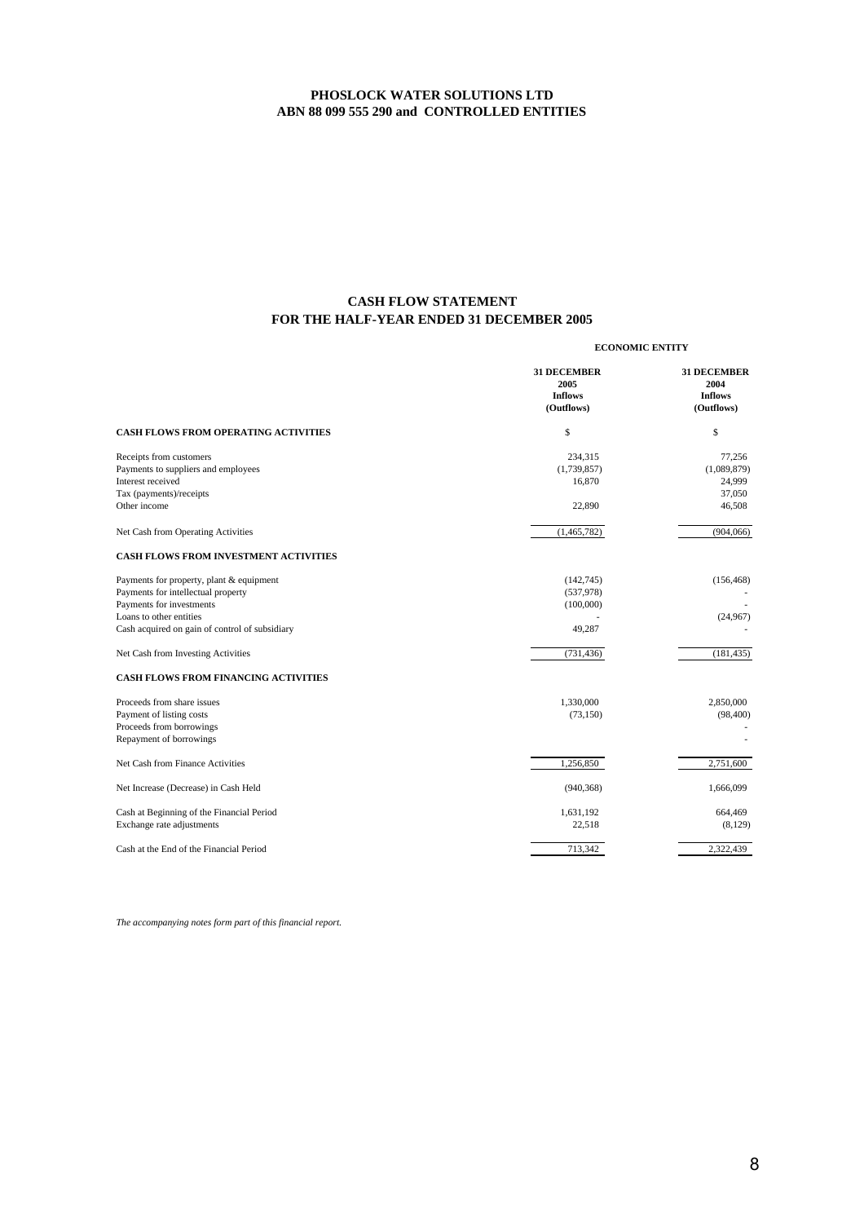## **FOR THE HALF-YEAR ENDED 31 DECEMBER 2005 CASH FLOW STATEMENT**

|                                                                                                                                | <b>ECONOMIC ENTITY</b>                                     |                                                            |  |
|--------------------------------------------------------------------------------------------------------------------------------|------------------------------------------------------------|------------------------------------------------------------|--|
|                                                                                                                                | <b>31 DECEMBER</b><br>2005<br><b>Inflows</b><br>(Outflows) | <b>31 DECEMBER</b><br>2004<br><b>Inflows</b><br>(Outflows) |  |
| <b>CASH FLOWS FROM OPERATING ACTIVITIES</b>                                                                                    | \$                                                         | \$                                                         |  |
| Receipts from customers<br>Payments to suppliers and employees<br>Interest received<br>Tax (payments)/receipts<br>Other income | 234,315<br>(1,739,857)<br>16,870<br>22,890                 | 77,256<br>(1,089,879)<br>24,999<br>37,050<br>46,508        |  |
| Net Cash from Operating Activities                                                                                             | (1,465,782)                                                | (904,066)                                                  |  |
| <b>CASH FLOWS FROM INVESTMENT ACTIVITIES</b>                                                                                   |                                                            |                                                            |  |
| Payments for property, plant & equipment<br>Payments for intellectual property                                                 | (142, 745)<br>(537,978)                                    | (156, 468)                                                 |  |
| Payments for investments<br>Loans to other entities<br>Cash acquired on gain of control of subsidiary                          | (100,000)<br>49,287                                        | (24,967)                                                   |  |
| Net Cash from Investing Activities                                                                                             | (731, 436)                                                 | (181, 435)                                                 |  |
| <b>CASH FLOWS FROM FINANCING ACTIVITIES</b>                                                                                    |                                                            |                                                            |  |
| Proceeds from share issues<br>Payment of listing costs<br>Proceeds from borrowings<br>Repayment of borrowings                  | 1,330,000<br>(73, 150)                                     | 2,850,000<br>(98, 400)                                     |  |
| Net Cash from Finance Activities                                                                                               | 1,256,850                                                  | 2,751,600                                                  |  |
| Net Increase (Decrease) in Cash Held                                                                                           | (940, 368)                                                 | 1,666,099                                                  |  |
| Cash at Beginning of the Financial Period<br>Exchange rate adjustments                                                         | 1,631,192<br>22,518                                        | 664,469<br>(8, 129)                                        |  |
| Cash at the End of the Financial Period                                                                                        | 713,342                                                    | 2,322,439                                                  |  |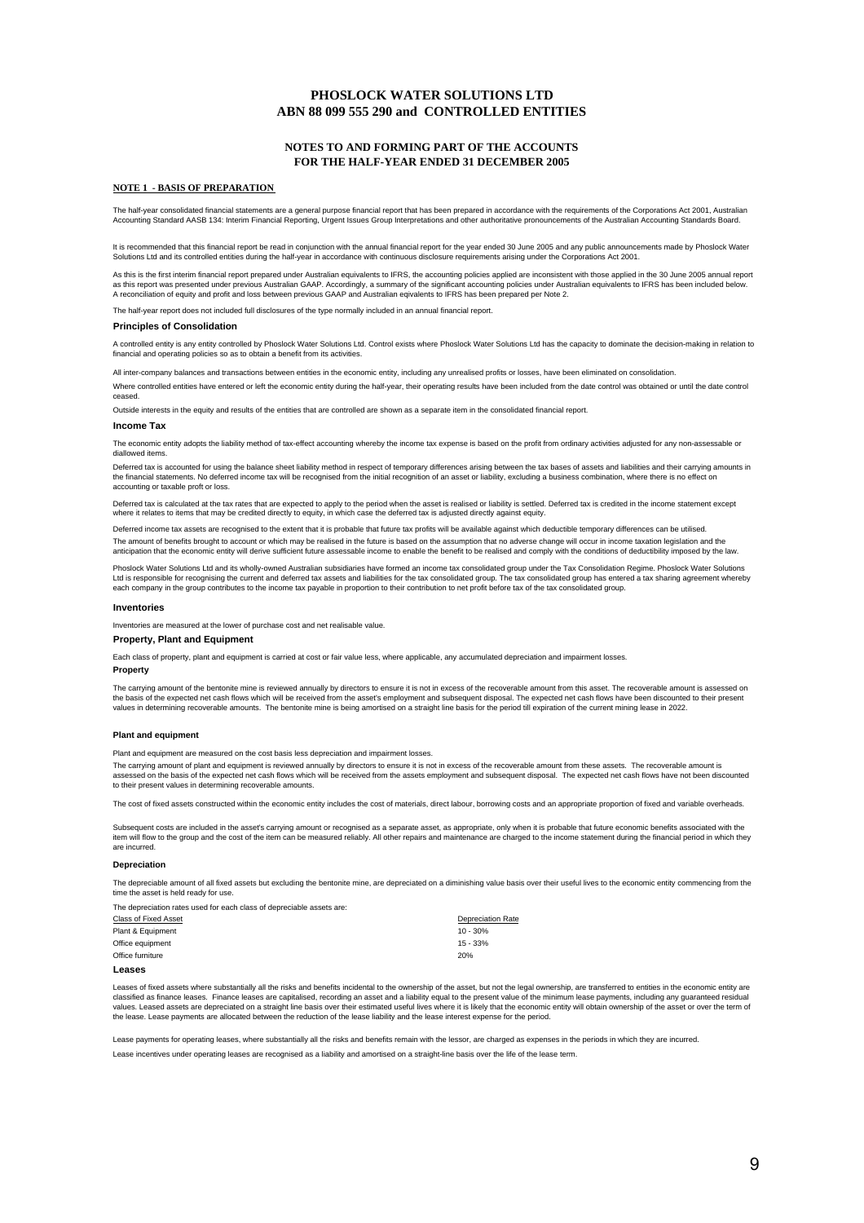### **NOTES TO AND FORMING PART OF THE ACCOUNTS FOR THE HALF-YEAR ENDED 31 DECEMBER 2005**

#### **NOTE 1 - BASIS OF PREPARATION**

The half-year consolidated financial statements are a general purpose financial report that has been prepared in accordance with the requirements of the Corporations Act 2001, Australian<br>Accounting Standard AASB 134: Inter

lt is recommended that this financial report be read in conjunction with the annual financial report for the year ended 30 June 2005 and any public announcements made by Phoslock Water<br>Solutions Ltd and its controlled enti

As this is the first interim financial report prepared under Australian equivalents to IFRS, the accounting policies applied are inconsistent with those applied in the 30 June 2005 annual report as this report was presented under previous Australian GAAP. Accordingly, a summary of the significant accounting policies under Australian equivalents to IFRS has been included below.<br>A reconciliation of equity and profit

The half-year report does not included full disclosures of the type normally included in an annual financial report.

#### **Principles of Consolidation**

A controlled entity is any entity controlled by Phoslock Water Solutions Ltd. Control exists where Phoslock Water Solutions Ltd has the capacity to dominate the decision-making in relation to financial and operating policies so as to obtain a benefit from its activities.

All inter-company balances and transactions between entities in the economic entity, including any unrealised profits or losses, have been eliminated on consolidation.

Where controlled entities have entered or left the economic entity during the half-year, their operating results have been included from the date control was obtained or until the date control ceased.

Outside interests in the equity and results of the entities that are controlled are shown as a separate item in the consolidated financial report.

#### **Income Tax**

The economic entity adopts the liability method of tax-effect accounting whereby the income tax expense is based on the profit from ordinary activities adjusted for any non-assessable or diallowed items.

Deferred tax is accounted for using the balance sheet liability method in respect of temporary differences arising between the tax bases of assets and liabilities and their carrying amounts in the financial statements. No deferred income tax will be recognised from the initial recognition of an asset or liability, excluding a business combination, where there is no effect on accounting or taxable proft or loss.

Deferred tax is calculated at the tax rates that are expected to apply to the period when the asset is realised or liability is settled. Deferred tax is credited in the income statement except where it relates to items that may be credited directly to equity, in which case the deferred tax is adjusted directly against equity.

Deferred income tax assets are recognised to the extent that it is probable that future tax profits will be available against which deductible temporary differences can be utilised. The amount of benefits brought to account or which may be realised in the future is based on the assumption that no adverse change will occur in income taxation legislation and the<br>anticipation that the economic entity wil

Phoslock Water Solutions Ltd and its wholly-owned Australian subsidiaries have formed an income tax consolidated group under the Tax Consolidation Regime. Phoslock Water Solutions Ltd is responsible for recognising the current and deferred tax assets and liabilities for the tax consolidated group. The tax consolidated group has entered a tax sharing agreement whereby<br>each company in the group contri

#### **Inventories**

Inventories are measured at the lower of purchase cost and net realisable value.

#### **Property, Plant and Equipment**

Each class of property, plant and equipment is carried at cost or fair value less, where applicable, any accumulated depreciation and impairment losses.

#### **Property**

The carrying amount of the bentonite mine is reviewed annually by directors to ensure it is not in excess of the recoverable amount from this asset. The recoverable amount is assessed on the basis of the expected net cash flows which will be received from the asset's employment and subsequent disposal. The expected net cash flows have been discounted to their present values in determining recoverable amounts. The bentonite mine is being amortised on a straight line basis for the period till expiration of the current mining lease in 2022.

#### **Plant and equipment**

Plant and equipment are measured on the cost basis less depreciation and impairment losses.

The carrying amount of plant and equipment is reviewed annually by directors to ensure it is not in excess of the recoverable amount from these assets. The recoverable amount is e canying announ or pain and equipment is reviewed annually by uncounted and subsequent disposal. The expected net cash flows have not been discounted in the axis of the expected net cash flows have not been discounted in to their present values in determining recoverable amounts.

The cost of fixed assets constructed within the economic entity includes the cost of materials, direct labour, borrowing costs and an appropriate proportion of fixed and variable overheads.

Subsequent costs are included in the asset's carrying amount or recognised as a separate asset, as appropriate, only when it is probable that future economic benefits associated with the<br>item will flow to the group and the are incurred.

#### **Depreciation**

The depreciable amount of all fixed assets but excluding the bentonite mine, are depreciated on a diminishing value basis over their useful lives to the economic entity commencing from the the asset is held ready for us

The depreciation rates used for each class of depreciable assets are:

| Class of Fixed Asset | <b>Depreciation Rate</b> |
|----------------------|--------------------------|
| Plant & Equipment    | $10 - 30%$               |
| Office equipment     | $15 - 33%$               |
| Office furniture     | 20%                      |
| عمعوم ا              |                          |

Leases of fixed assets where substantially all the risks and benefits incidental to the ownership of the asset, but not the legal ownership, are transferred to entities in the economic entity are classified as finance leases. Finance leases are capitalised, recording an asset and a liability equal to the present value of the minimum lease payments, including any guaranteed residual<br>values. Leased assets are depreci the lease. Lease payments are allocated between the reduction of the lease liability and the lease interest expense for the period.

Lease payments for operating leases, where substantially all the risks and benefits remain with the lessor, are charged as expenses in the periods in which they are incurred. Lease incentives under operating leases are recognised as a liability and amortised on a straight-line basis over the life of the lease term.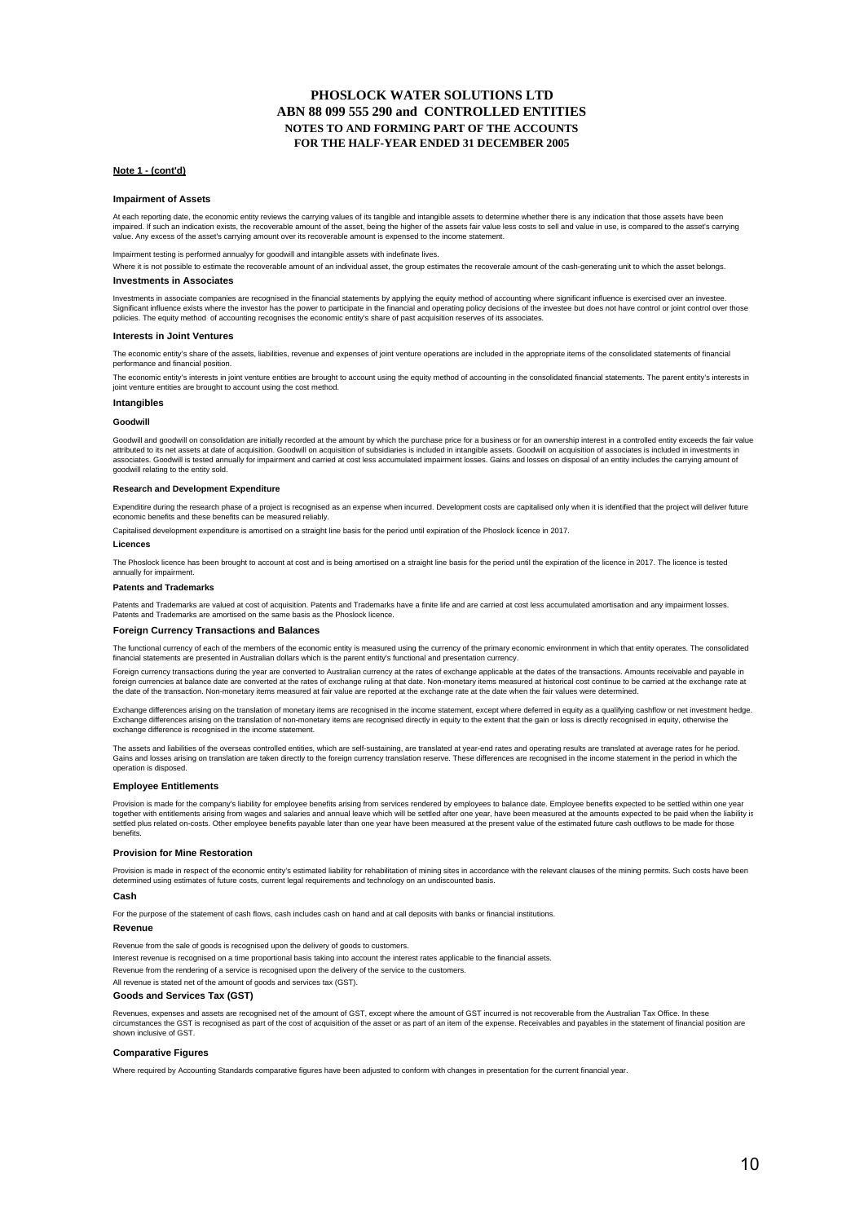### **PHOSLOCK WATER SOLUTIONS LTD ABN 88 099 555 290 and CONTROLLED ENTITIES FOR THE HALF-YEAR ENDED 31 DECEMBER 2005 NOTES TO AND FORMING PART OF THE ACCOUNTS**

#### **Note 1 - (cont'd)**

#### **Impairment of Assets**

At each reporting date, the economic entity reviews the carrying values of its tangible and intangible assets to determine whether there is any indication that those assets have been impaired. If such an indication exists, the recoverable amount of the asset, being the higher of the assets fair value less costs to sell and value in use, is compared to the asset's carrying value. Any excess of the asset's carrying amount over its recoverable amount is expensed to the income statement.

#### Impairment testing is performed annualyy for goodwill and intangible assets with indefinate lives.

**Investments in Associates** Where it is not possible to estimate the recoverable amount of an individual asset, the corun estimates the recoverale amount of the cash-generating unit to which the asset belongs.

### Investments in associate companies are recognised in the financial statements by applying the equity method of accounting where significant influence is exercised over an investee. Significant influence exists where the investor has the power to participate in the financial and operating policy decisions of the investee but does not have control or joint control over those<br>policies. The equity method

#### **Interests in Joint Ventures**

The economic entity's share of the assets, liabilities, revenue and expenses of joint venture operations are included in the appropriate items of the consolidated statements of financial performance and financial position.

The economic entity's interests in joint venture entities are brought to account using the equity method of accounting in the consolidated financial statements. The parent entity's interests in joint venture entities are brought to account using the cost method.

#### **Intangibles**

#### **Goodwill**

Goodwill and goodwill on consolidation are initially recorded at the amount by which the purchase price for a business or for an ownership interest in a controlled entity exceeds the fair value attributed to its net assets at date of acquisition. Goodwill on acquisition of subsidiaries is included in intangible assets. Goodwill on acquisition of associates is included in investments in associates. Goodwill is tested annually for impairment and carried at cost less accumulated impairment losses. Gains and losses on disposal of an entity includes the carrying amount of goodwill relating to the entity sold.

#### **Research and Development Expenditure**

Expenditire during the research phase of a project is recognised as an expense when incurred. Development costs are capitalised only when it is identified that the project will deliver future economic benefits and these benefits can be measured reliably.

Capitalised development expenditure is amortised on a straight line basis for the period until expiration of the Phoslock licence in 2017.

#### **Licences**

The Phoslock licence has been brought to account at cost and is being amortised on a straight line basis for the period until the expiration of the licence in 2017. The licence is tested annually for impairment.

#### **Patents and Trademarks**

Patents and Trademarks are valued at cost of acquisition. Patents and Trademarks have a finite life and are carried at cost less accumulated amortisation and any impairment losses. Patents and Trademarks are amortised on the same basis as the Phoslock licence.

#### **Foreign Currency Transactions and Balances**

The functional currency of each of the members of the economic entity is measured using the currency of the primary economic environment in which that entity operates. The consolidated financial statements are presented in Australian dollars which is the parent entity's functional and presentation currency.

Foreign currency transactions during the year are converted to Australian currency at the rates of exchange applicable at the dates of the transactions. Amounts receivable and payable in foreign currencies at balance date are converted at the rates of exchange ruling at that date. Non-monetary items measured at historical cost continue to be carried at the exchange rate at the date of the transaction. Non-monetary items measured at fair value are reported at the exchange rate at the date when the fair values were determined.

Exchange differences arising on the translation of monetary items are recognised in the income statement, except where deferred in equity as a qualifying cashflow or net investment hedge. Exchange differences arising on the translation of non-monetary items are recognised directly in equity to the extent that the gain or loss is directly recognised in equity, otherwise the extent that the gain or loss is di exchange difference is recognised in the income statement.

The assets and liabilities of the overseas controlled entities, which are self-sustaining, are translated at year-end rates and operating results are translated at average rates for he period.<br>Gains and losses arising on t operation is disposed.

#### **Employee Entitlements**

Provision is made for the company's liability for employee benefits arising from services rendered by employees to balance date. Employee benefits expected to be settled within one year together with entitlements arising from wages and salaries and annual leave which will be settled after one year, have been measured at the amounts expected to be paid when the liability is<br>settled plus related on-costs. O benefits.

#### **Provision for Mine Restoration**

Provision is made in respect of the economic entity's estimated liability for rehabilitation of mining sites in accordance with the relevant clauses of the mining permits. Such costs have been determined using estimates of future costs, current legal requirements and technology on an undiscounted basis.

#### **Cash**

For the purpose of the statement of cash flows, cash includes cash on hand and at call deposits with banks or financial institutions.

#### **Revenue**

Revenue from the sale of goods is recognised upon the delivery of goods to customers. Interest revenue is recognised on a time proportional basis taking into account the interest rates applicable to the financial assets. Revenue from the rendering of a service is recognised upon the delivery of the service to the customers. All revenue is stated net of the amount of goods and services tax (GST). **Goods and Services Tax (GST)**

Revenues, expenses and assets are recognised net of the amount of GST, except where the amount of GST incurred is not recoverable from the Australian Tax Office. In these circumstances the GST is recognised as part of the cost of acquisition of the asset or as part of an item of the expense. Receivables and payables in the statement of financial position are shown inclusive of GST.

#### **Comparative Figures**

Where required by Accounting Standards comparative figures have been adjusted to conform with changes in presentation for the current financial year.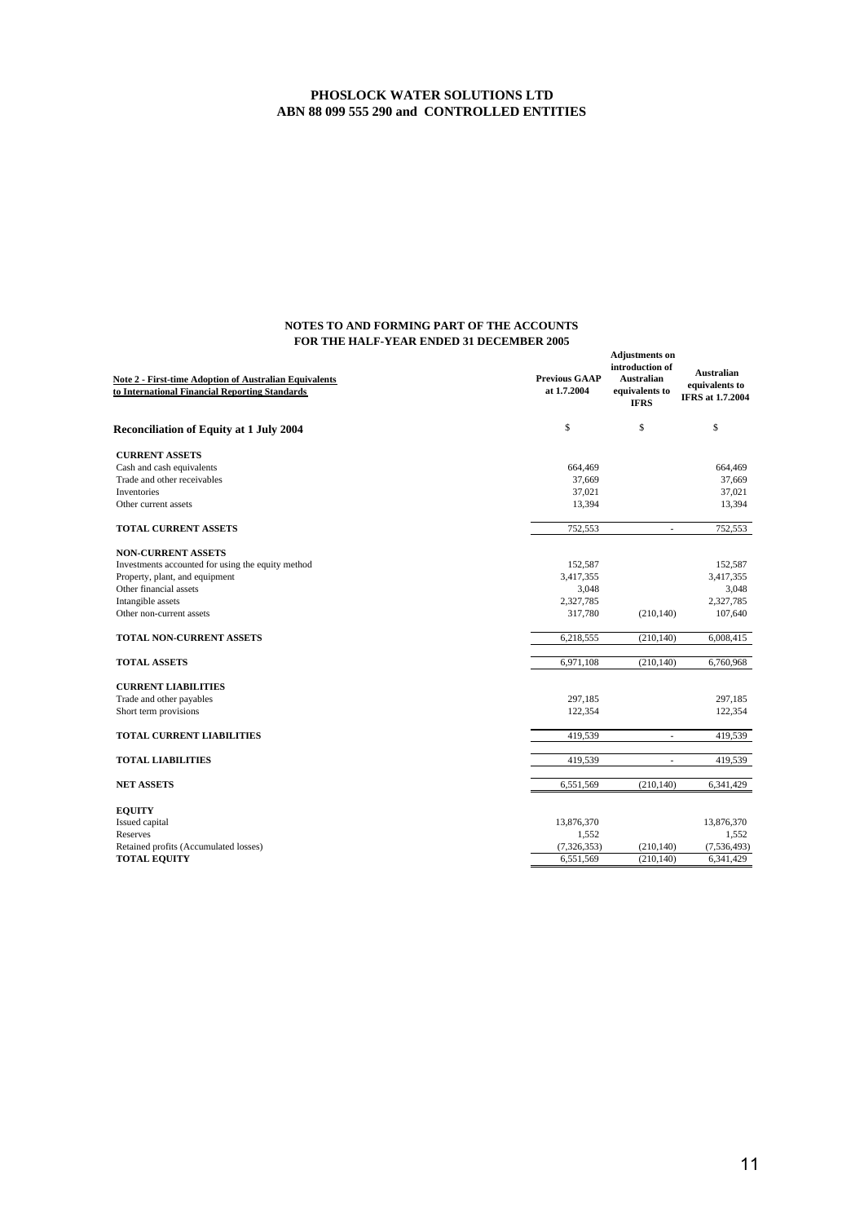| <b>Note 2 - First-time Adoption of Australian Equivalents</b><br>to International Financial Reporting Standards | <b>Previous GAAP</b><br>at 1.7.2004 | <b>Adjustments</b> on<br>introduction of<br><b>Australian</b><br>equivalents to<br><b>IFRS</b> | <b>Australian</b><br>equivalents to<br><b>IFRS</b> at 1.7.2004 |
|-----------------------------------------------------------------------------------------------------------------|-------------------------------------|------------------------------------------------------------------------------------------------|----------------------------------------------------------------|
| <b>Reconciliation of Equity at 1 July 2004</b>                                                                  | \$                                  | \$                                                                                             | \$                                                             |
| <b>CURRENT ASSETS</b>                                                                                           |                                     |                                                                                                |                                                                |
| Cash and cash equivalents                                                                                       | 664,469                             |                                                                                                | 664,469                                                        |
| Trade and other receivables                                                                                     | 37,669                              |                                                                                                | 37,669                                                         |
| <b>Inventories</b>                                                                                              | 37,021                              |                                                                                                | 37,021                                                         |
| Other current assets                                                                                            | 13,394                              |                                                                                                | 13,394                                                         |
| <b>TOTAL CURRENT ASSETS</b>                                                                                     | 752,553                             | ä,                                                                                             | 752,553                                                        |
| <b>NON-CURRENT ASSETS</b>                                                                                       |                                     |                                                                                                |                                                                |
| Investments accounted for using the equity method                                                               | 152,587                             |                                                                                                | 152,587                                                        |
| Property, plant, and equipment                                                                                  | 3,417,355                           |                                                                                                | 3,417,355                                                      |
| Other financial assets                                                                                          | 3,048                               |                                                                                                | 3,048                                                          |
| Intangible assets                                                                                               | 2,327,785                           |                                                                                                | 2,327,785                                                      |
| Other non-current assets                                                                                        | 317,780                             | (210, 140)                                                                                     | 107,640                                                        |
| TOTAL NON-CURRENT ASSETS                                                                                        | 6,218,555                           | (210, 140)                                                                                     | 6,008,415                                                      |
| <b>TOTAL ASSETS</b>                                                                                             | 6,971,108                           | (210, 140)                                                                                     | 6,760,968                                                      |
| <b>CURRENT LIABILITIES</b>                                                                                      |                                     |                                                                                                |                                                                |
| Trade and other payables                                                                                        | 297,185                             |                                                                                                | 297,185                                                        |
| Short term provisions                                                                                           | 122,354                             |                                                                                                | 122,354                                                        |
| <b>TOTAL CURRENT LIABILITIES</b>                                                                                | 419,539                             | ä,                                                                                             | 419,539                                                        |
| <b>TOTAL LIABILITIES</b>                                                                                        | 419,539                             | ä,                                                                                             | 419,539                                                        |
| <b>NET ASSETS</b>                                                                                               | 6,551,569                           | (210, 140)                                                                                     | 6,341,429                                                      |
|                                                                                                                 |                                     |                                                                                                |                                                                |
| <b>EQUITY</b>                                                                                                   |                                     |                                                                                                |                                                                |
| Issued capital                                                                                                  | 13,876,370                          |                                                                                                | 13,876,370                                                     |
| Reserves                                                                                                        | 1,552                               |                                                                                                | 1,552                                                          |
| Retained profits (Accumulated losses)                                                                           | (7, 326, 353)                       | (210, 140)                                                                                     | (7, 536, 493)                                                  |
| <b>TOTAL EQUITY</b>                                                                                             | 6,551,569                           | (210, 140)                                                                                     | 6,341,429                                                      |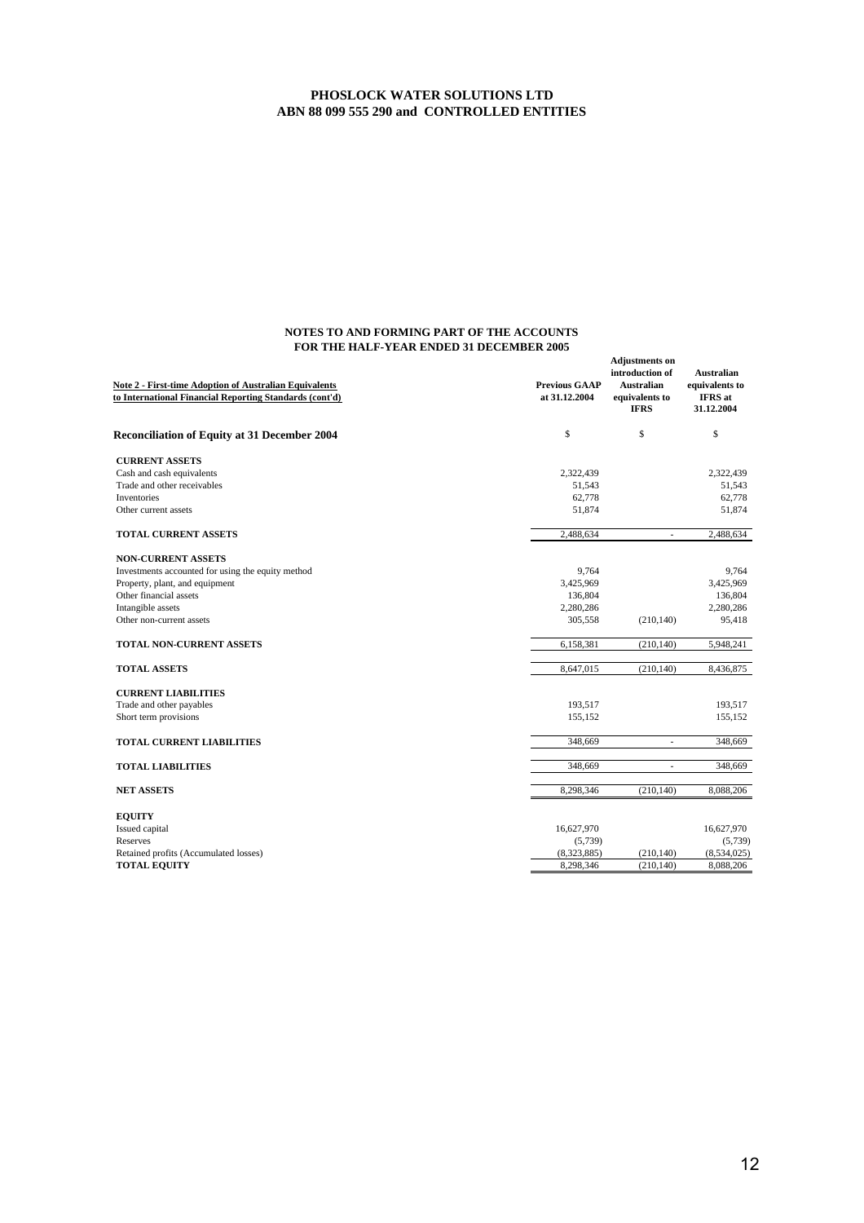| <b>Note 2 - First-time Adoption of Australian Equivalents</b><br>to International Financial Reporting Standards (cont'd) | <b>Previous GAAP</b><br>at 31.12.2004 | <b>Adjustments on</b><br>introduction of<br><b>Australian</b><br>equivalents to<br><b>IFRS</b> | <b>Australian</b><br>equivalents to<br><b>IFRS</b> at<br>31.12.2004 |
|--------------------------------------------------------------------------------------------------------------------------|---------------------------------------|------------------------------------------------------------------------------------------------|---------------------------------------------------------------------|
| <b>Reconciliation of Equity at 31 December 2004</b>                                                                      | \$                                    | \$                                                                                             | \$                                                                  |
| <b>CURRENT ASSETS</b>                                                                                                    |                                       |                                                                                                |                                                                     |
| Cash and cash equivalents                                                                                                | 2,322,439                             |                                                                                                | 2,322,439                                                           |
| Trade and other receivables                                                                                              | 51,543                                |                                                                                                | 51,543                                                              |
| <b>Inventories</b>                                                                                                       | 62,778                                |                                                                                                | 62,778                                                              |
| Other current assets                                                                                                     | 51,874                                |                                                                                                | 51,874                                                              |
| <b>TOTAL CURRENT ASSETS</b>                                                                                              | 2,488,634                             | $\overline{\phantom{a}}$                                                                       | 2,488,634                                                           |
| <b>NON-CURRENT ASSETS</b>                                                                                                |                                       |                                                                                                |                                                                     |
| Investments accounted for using the equity method                                                                        | 9,764                                 |                                                                                                | 9,764                                                               |
| Property, plant, and equipment                                                                                           | 3,425,969                             |                                                                                                | 3,425,969                                                           |
| Other financial assets                                                                                                   | 136,804                               |                                                                                                | 136,804                                                             |
| Intangible assets                                                                                                        | 2,280,286                             |                                                                                                | 2,280,286                                                           |
| Other non-current assets                                                                                                 | 305,558                               | (210, 140)                                                                                     | 95,418                                                              |
| TOTAL NON-CURRENT ASSETS                                                                                                 | 6,158,381                             | (210, 140)                                                                                     | 5,948,241                                                           |
| <b>TOTAL ASSETS</b>                                                                                                      | 8,647,015                             | (210, 140)                                                                                     | 8,436,875                                                           |
|                                                                                                                          |                                       |                                                                                                |                                                                     |
| <b>CURRENT LIABILITIES</b>                                                                                               |                                       |                                                                                                |                                                                     |
| Trade and other payables                                                                                                 | 193,517                               |                                                                                                | 193,517                                                             |
| Short term provisions                                                                                                    | 155,152                               |                                                                                                | 155,152                                                             |
| <b>TOTAL CURRENT LIABILITIES</b>                                                                                         | 348,669                               | $\sim$                                                                                         | 348,669                                                             |
| <b>TOTAL LIABILITIES</b>                                                                                                 | 348,669                               | ä,                                                                                             | 348,669                                                             |
| <b>NET ASSETS</b>                                                                                                        | 8,298,346                             | (210, 140)                                                                                     | 8,088,206                                                           |
|                                                                                                                          |                                       |                                                                                                |                                                                     |
| <b>EQUITY</b>                                                                                                            |                                       |                                                                                                |                                                                     |
| Issued capital                                                                                                           | 16,627,970                            |                                                                                                | 16,627,970                                                          |
| Reserves                                                                                                                 | (5,739)                               |                                                                                                | (5,739)                                                             |
| Retained profits (Accumulated losses)                                                                                    | (8,323,885)                           | (210, 140)                                                                                     | (8,534,025)                                                         |
| <b>TOTAL EQUITY</b>                                                                                                      | 8,298,346                             | (210, 140)                                                                                     | 8,088,206                                                           |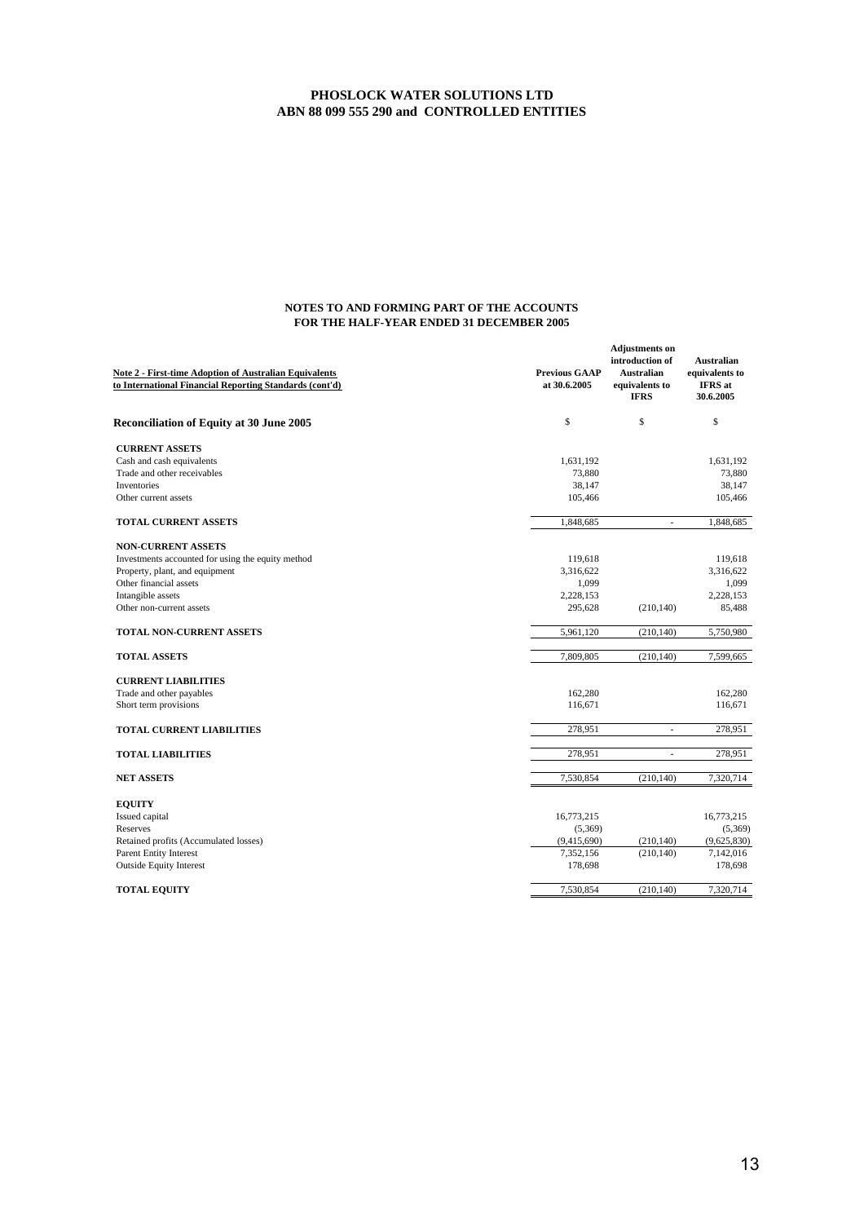| <b>Note 2 - First-time Adoption of Australian Equivalents</b><br>to International Financial Reporting Standards (cont'd) | <b>Previous GAAP</b><br>at 30.6.2005 | <b>Adjustments</b> on<br>introduction of<br>Australian<br>equivalents to<br><b>IFRS</b> | <b>Australian</b><br>equivalents to<br><b>IFRS</b> at<br>30.6.2005 |
|--------------------------------------------------------------------------------------------------------------------------|--------------------------------------|-----------------------------------------------------------------------------------------|--------------------------------------------------------------------|
| <b>Reconciliation of Equity at 30 June 2005</b>                                                                          | \$                                   | \$                                                                                      | \$                                                                 |
| <b>CURRENT ASSETS</b>                                                                                                    |                                      |                                                                                         |                                                                    |
| Cash and cash equivalents                                                                                                | 1,631,192                            |                                                                                         | 1,631,192                                                          |
| Trade and other receivables                                                                                              | 73,880                               |                                                                                         | 73,880                                                             |
| <b>Inventories</b>                                                                                                       | 38,147                               |                                                                                         | 38,147                                                             |
| Other current assets                                                                                                     | 105,466                              |                                                                                         | 105,466                                                            |
| <b>TOTAL CURRENT ASSETS</b>                                                                                              | 1,848,685                            | $\overline{\phantom{a}}$                                                                | 1,848,685                                                          |
| <b>NON-CURRENT ASSETS</b>                                                                                                |                                      |                                                                                         |                                                                    |
| Investments accounted for using the equity method                                                                        | 119,618                              |                                                                                         | 119,618                                                            |
| Property, plant, and equipment                                                                                           | 3,316,622                            |                                                                                         | 3,316,622                                                          |
| Other financial assets                                                                                                   | 1,099                                |                                                                                         | 1,099                                                              |
| Intangible assets                                                                                                        | 2,228,153                            |                                                                                         | 2,228,153                                                          |
| Other non-current assets                                                                                                 | 295,628                              | (210, 140)                                                                              | 85,488                                                             |
| <b>TOTAL NON-CURRENT ASSETS</b>                                                                                          | 5,961,120                            | (210, 140)                                                                              | 5,750,980                                                          |
| <b>TOTAL ASSETS</b>                                                                                                      | 7,809,805                            | (210, 140)                                                                              | 7,599,665                                                          |
| <b>CURRENT LIABILITIES</b>                                                                                               |                                      |                                                                                         |                                                                    |
| Trade and other payables                                                                                                 | 162,280                              |                                                                                         | 162,280                                                            |
| Short term provisions                                                                                                    | 116,671                              |                                                                                         | 116,671                                                            |
| <b>TOTAL CURRENT LIABILITIES</b>                                                                                         | 278,951                              | $\overline{\phantom{a}}$                                                                | 278,951                                                            |
| <b>TOTAL LIABILITIES</b>                                                                                                 | 278,951                              | ä,                                                                                      | 278,951                                                            |
| <b>NET ASSETS</b>                                                                                                        | 7,530,854                            | (210, 140)                                                                              | 7,320,714                                                          |
|                                                                                                                          |                                      |                                                                                         |                                                                    |
| <b>EQUITY</b>                                                                                                            |                                      |                                                                                         |                                                                    |
| Issued capital                                                                                                           | 16,773,215                           |                                                                                         | 16,773,215                                                         |
| Reserves                                                                                                                 | (5,369)                              |                                                                                         | (5,369)                                                            |
| Retained profits (Accumulated losses)                                                                                    | (9,415,690)                          | (210, 140)                                                                              | (9,625,830)                                                        |
| <b>Parent Entity Interest</b>                                                                                            | 7,352,156                            | (210, 140)                                                                              | 7,142,016                                                          |
| <b>Outside Equity Interest</b>                                                                                           | 178,698                              |                                                                                         | 178,698                                                            |
| <b>TOTAL EQUITY</b>                                                                                                      | 7,530,854                            | (210, 140)                                                                              | 7,320,714                                                          |
|                                                                                                                          |                                      |                                                                                         |                                                                    |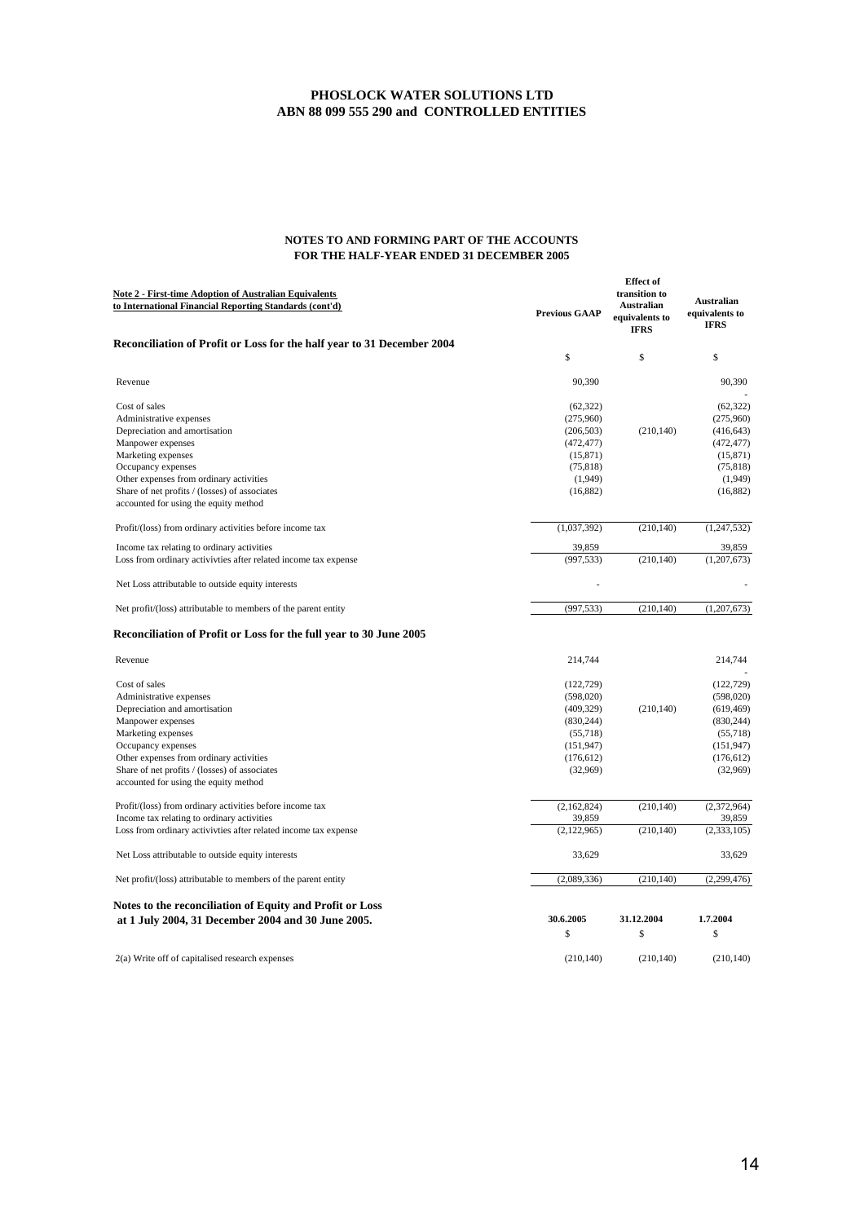| <b>Note 2 - First-time Adoption of Australian Equivalents</b><br>to International Financial Reporting Standards (cont'd) | <b>Previous GAAP</b> | <b>Effect</b> of<br>transition to<br><b>Australian</b><br>equivalents to<br><b>IFRS</b> | <b>Australian</b><br>equivalents to<br><b>IFRS</b> |
|--------------------------------------------------------------------------------------------------------------------------|----------------------|-----------------------------------------------------------------------------------------|----------------------------------------------------|
| Reconciliation of Profit or Loss for the half year to 31 December 2004                                                   |                      |                                                                                         |                                                    |
|                                                                                                                          | \$                   | \$                                                                                      | \$                                                 |
| Revenue                                                                                                                  | 90,390               |                                                                                         | 90,390                                             |
| Cost of sales                                                                                                            | (62, 322)            |                                                                                         | (62, 322)                                          |
| Administrative expenses                                                                                                  | (275,960)            |                                                                                         | (275,960)                                          |
| Depreciation and amortisation                                                                                            | (206, 503)           | (210, 140)                                                                              | (416, 643)                                         |
| Manpower expenses                                                                                                        | (472, 477)           |                                                                                         | (472, 477)                                         |
| Marketing expenses                                                                                                       | (15, 871)            |                                                                                         | (15, 871)                                          |
| Occupancy expenses                                                                                                       | (75, 818)            |                                                                                         | (75, 818)                                          |
| Other expenses from ordinary activities                                                                                  | (1,949)              |                                                                                         | (1,949)                                            |
| Share of net profits / (losses) of associates                                                                            | (16, 882)            |                                                                                         | (16, 882)                                          |
| accounted for using the equity method                                                                                    |                      |                                                                                         |                                                    |
| Profit/(loss) from ordinary activities before income tax                                                                 | (1,037,392)          | (210, 140)                                                                              | (1, 247, 532)                                      |
| Income tax relating to ordinary activities                                                                               | 39,859               |                                                                                         | 39,859                                             |
| Loss from ordinary activivties after related income tax expense                                                          | (997, 533)           | (210, 140)                                                                              | (1, 207, 673)                                      |
| Net Loss attributable to outside equity interests                                                                        |                      |                                                                                         |                                                    |
| Net profit/(loss) attributable to members of the parent entity                                                           | (997, 533)           | (210, 140)                                                                              | (1,207,673)                                        |
| Reconciliation of Profit or Loss for the full year to 30 June 2005                                                       |                      |                                                                                         |                                                    |
| Revenue                                                                                                                  | 214,744              |                                                                                         | 214,744                                            |
| Cost of sales                                                                                                            | (122, 729)           |                                                                                         | (122, 729)                                         |
| Administrative expenses                                                                                                  | (598, 020)           |                                                                                         | (598, 020)                                         |
| Depreciation and amortisation                                                                                            | (409, 329)           | (210, 140)                                                                              | (619, 469)                                         |
| Manpower expenses                                                                                                        | (830, 244)           |                                                                                         | (830, 244)                                         |
| Marketing expenses                                                                                                       | (55,718)             |                                                                                         | (55,718)                                           |
| Occupancy expenses                                                                                                       | (151, 947)           |                                                                                         | (151, 947)                                         |
| Other expenses from ordinary activities                                                                                  | (176, 612)           |                                                                                         | (176, 612)                                         |
| Share of net profits / (losses) of associates                                                                            | (32,969)             |                                                                                         | (32,969)                                           |
| accounted for using the equity method                                                                                    |                      |                                                                                         |                                                    |
| Profit/(loss) from ordinary activities before income tax                                                                 | (2,162,824)          | (210, 140)                                                                              | (2,372,964)                                        |
| Income tax relating to ordinary activities                                                                               | 39,859               |                                                                                         | 39,859                                             |
| Loss from ordinary activivties after related income tax expense                                                          | (2,122,965)          | (210, 140)                                                                              | (2, 333, 105)                                      |
| Net Loss attributable to outside equity interests                                                                        | 33,629               |                                                                                         | 33,629                                             |
| Net profit/(loss) attributable to members of the parent entity                                                           | (2,089,336)          | (210, 140)                                                                              | (2,299,476)                                        |
| Notes to the reconciliation of Equity and Profit or Loss                                                                 |                      |                                                                                         |                                                    |
| at 1 July 2004, 31 December 2004 and 30 June 2005.                                                                       | 30.6.2005            | 31.12.2004                                                                              | 1.7.2004                                           |
|                                                                                                                          | \$                   | \$                                                                                      | \$                                                 |
| 2(a) Write off of capitalised research expenses                                                                          | (210, 140)           | (210, 140)                                                                              | (210, 140)                                         |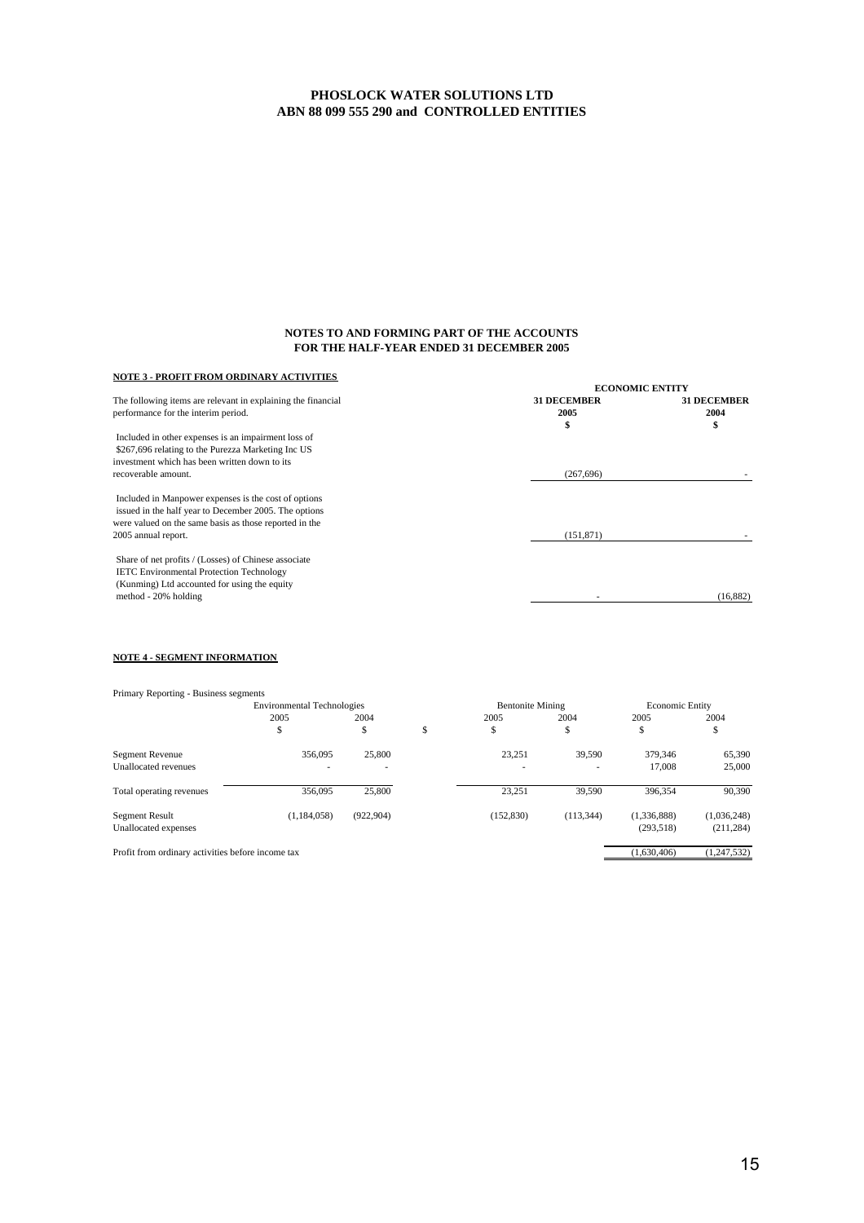### **NOTES TO AND FORMING PART OF THE ACCOUNTS FOR THE HALF-YEAR ENDED 31 DECEMBER 2005**

### **NOTE 3 - PROFIT FROM ORDINARY ACTIVITIES**

|                                                                                                     |                            | <b>ECONOMIC ENTITY</b>     |  |  |
|-----------------------------------------------------------------------------------------------------|----------------------------|----------------------------|--|--|
| The following items are relevant in explaining the financial<br>performance for the interim period. | <b>31 DECEMBER</b><br>2005 | <b>31 DECEMBER</b><br>2004 |  |  |
|                                                                                                     | S                          | \$                         |  |  |
| Included in other expenses is an impairment loss of                                                 |                            |                            |  |  |
| \$267,696 relating to the Purezza Marketing Inc US                                                  |                            |                            |  |  |
| investment which has been written down to its                                                       |                            |                            |  |  |
| recoverable amount.                                                                                 | (267, 696)                 |                            |  |  |
| Included in Manpower expenses is the cost of options                                                |                            |                            |  |  |
| issued in the half year to December 2005. The options                                               |                            |                            |  |  |
| were valued on the same basis as those reported in the                                              |                            |                            |  |  |
| 2005 annual report.                                                                                 | (151, 871)                 |                            |  |  |
| Share of net profits / (Losses) of Chinese associate                                                |                            |                            |  |  |
| <b>IETC</b> Environmental Protection Technology                                                     |                            |                            |  |  |
| (Kunming) Ltd accounted for using the equity                                                        |                            |                            |  |  |
| method - 20% holding                                                                                |                            | (16, 882)                  |  |  |
|                                                                                                     |                            |                            |  |  |

### **NOTE 4 - SEGMENT INFORMATION**

| Primary Reporting - Business segments             |                                   |            |        |                         |            |                        |             |
|---------------------------------------------------|-----------------------------------|------------|--------|-------------------------|------------|------------------------|-------------|
|                                                   | <b>Environmental Technologies</b> |            |        | <b>Bentonite Mining</b> |            | <b>Economic Entity</b> |             |
|                                                   | 2005<br>ъ                         | 2004<br>\$ | ¢<br>ъ | 2005<br>\$              | 2004<br>ъ  | 2005<br>\$             | 2004<br>\$  |
|                                                   |                                   |            |        |                         |            |                        |             |
| <b>Segment Revenue</b>                            | 356,095                           | 25,800     |        | 23.251                  | 39,590     | 379,346                | 65,390      |
| Unallocated revenues                              |                                   | $\sim$     |        |                         |            | 17,008                 | 25,000      |
| Total operating revenues                          | 356,095                           | 25,800     |        | 23,251                  | 39,590     | 396.354                | 90,390      |
| Segment Result                                    | (1.184.058)                       | (922, 904) |        | (152, 830)              | (113, 344) | (1.336.888)            | (1,036,248) |
| Unallocated expenses                              |                                   |            |        |                         |            | (293, 518)             | (211, 284)  |
| Profit from ordinary activities before income tax |                                   |            |        |                         |            | (1.630, 406)           | (1,247,532) |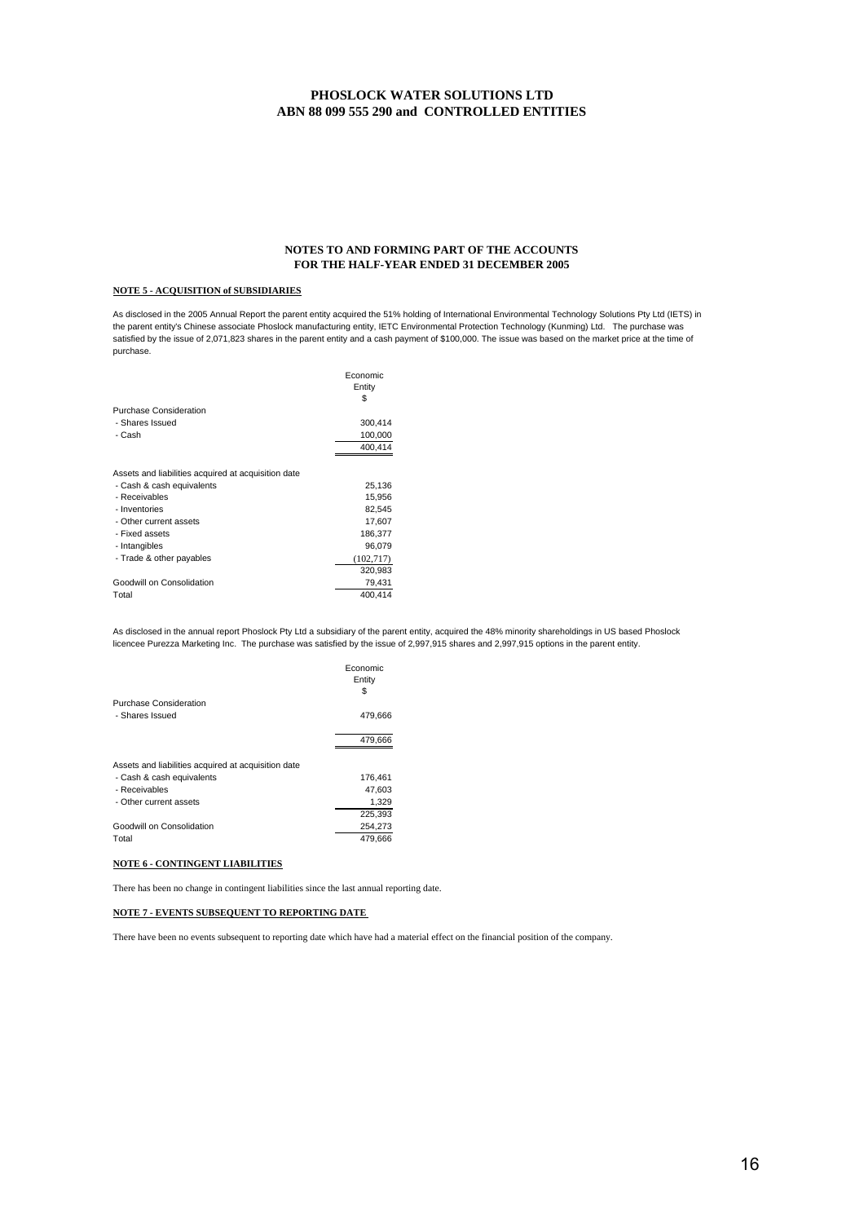### **NOTES TO AND FORMING PART OF THE ACCOUNTS FOR THE HALF-YEAR ENDED 31 DECEMBER 2005**

### **NOTE 5 - ACQUISITION of SUBSIDIARIES**

purchase. As disclosed in the 2005 Annual Report the parent entity acquired the 51% holding of International Environmental Technology Solutions Pty Ltd (IETS) in the parent entity's Chinese associate Phoslock manufacturing entity, IETC Environmental Protection Technology (Kunming) Ltd. The purchase was satisfied by the issue of 2,071,823 shares in the parent entity and a cash payment of \$100,000. The issue was based on the market price at the time of

|                                                     | Economic<br>Entity<br>S |
|-----------------------------------------------------|-------------------------|
| Purchase Consideration                              |                         |
| - Shares Issued                                     | 300,414                 |
| - Cash                                              | 100,000                 |
|                                                     | 400,414                 |
|                                                     |                         |
| Assets and liabilities acquired at acquisition date |                         |
| - Cash & cash equivalents                           | 25,136                  |
| - Receivables                                       | 15,956                  |
| - Inventories                                       | 82,545                  |
| - Other current assets                              | 17,607                  |
| - Fixed assets                                      | 186,377                 |
| - Intangibles                                       | 96,079                  |
| - Trade & other payables                            | (102,717)               |
|                                                     | 320,983                 |
| Goodwill on Consolidation                           | 79,431                  |
| Total                                               | 400.414                 |

licencee Purezza Marketing Inc. The purchase was satisfied by the issue of 2,997,915 shares and 2,997,915 options in the parent entity. As disclosed in the annual report Phoslock Pty Ltd a subsidiary of the parent entity, acquired the 48% minority shareholdings in US based Phoslock

|                                                     | Economic<br>Entity<br>S |
|-----------------------------------------------------|-------------------------|
| <b>Purchase Consideration</b>                       |                         |
| - Shares Issued                                     | 479,666                 |
|                                                     | 479.666                 |
| Assets and liabilities acquired at acquisition date |                         |
| - Cash & cash equivalents                           | 176.461                 |
| - Receivables                                       | 47,603                  |
| - Other current assets                              | 1,329                   |
|                                                     | 225,393                 |
| Goodwill on Consolidation                           | 254,273                 |
| Total                                               | 479,666                 |

### **NOTE 6 - CONTINGENT LIABILITIES**

There has been no change in contingent liabilities since the last annual reporting date.

### **NOTE 7 - EVENTS SUBSEQUENT TO REPORTING DATE**

There have been no events subsequent to reporting date which have had a material effect on the financial position of the company.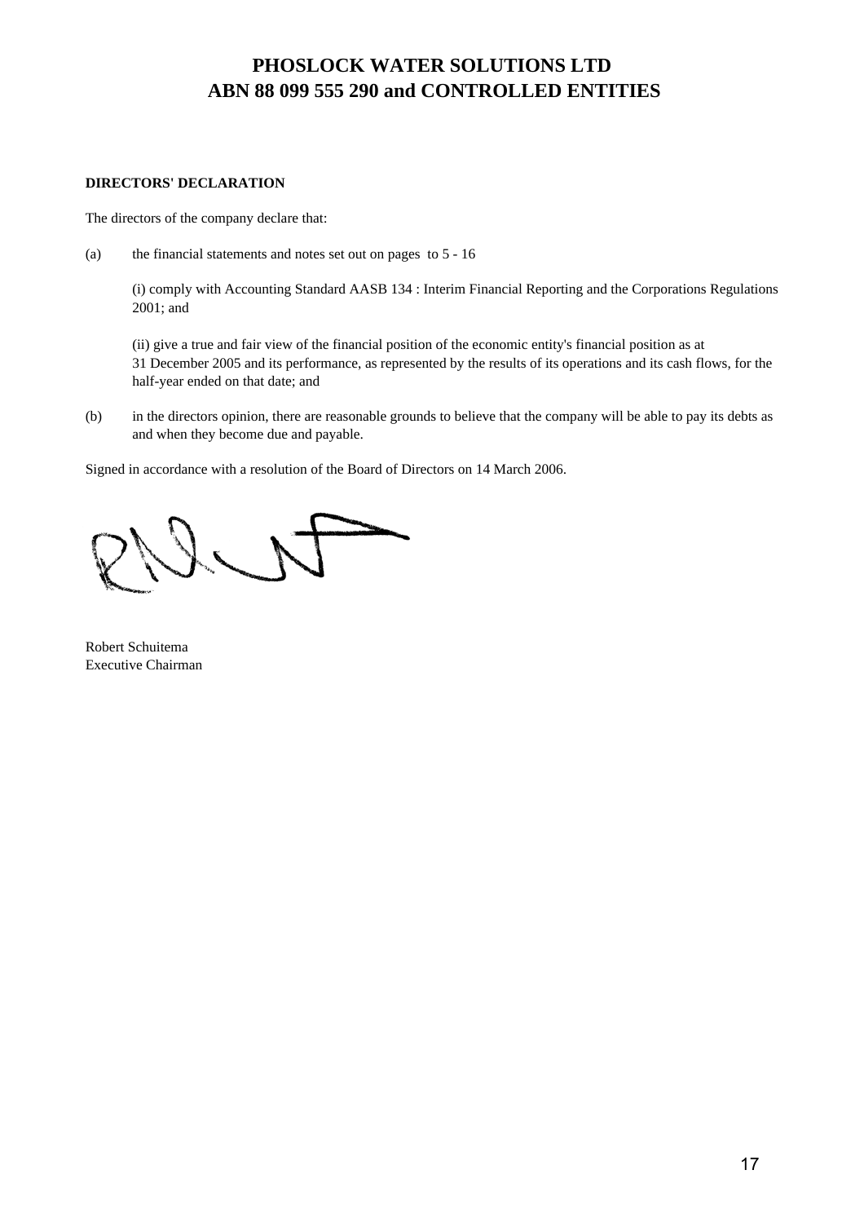### **DIRECTORS' DECLARATION**

The directors of the company declare that:

(a) the financial statements and notes set out on pages to 5 - 16

(i) comply with Accounting Standard AASB 134 : Interim Financial Reporting and the Corporations Regulations 2001; and

(ii) give a true and fair view of the financial position of the economic entity's financial position as at 31 December 2005 and its performance, as represented by the results of its operations and its cash flows, for the half-year ended on that date; and

(b) in the directors opinion, there are reasonable grounds to believe that the company will be able to pay its debts as and when they become due and payable.

Signed in accordance with a resolution of the Board of Directors on 14 March 2006.

Robert Schuitema Executive Chairman